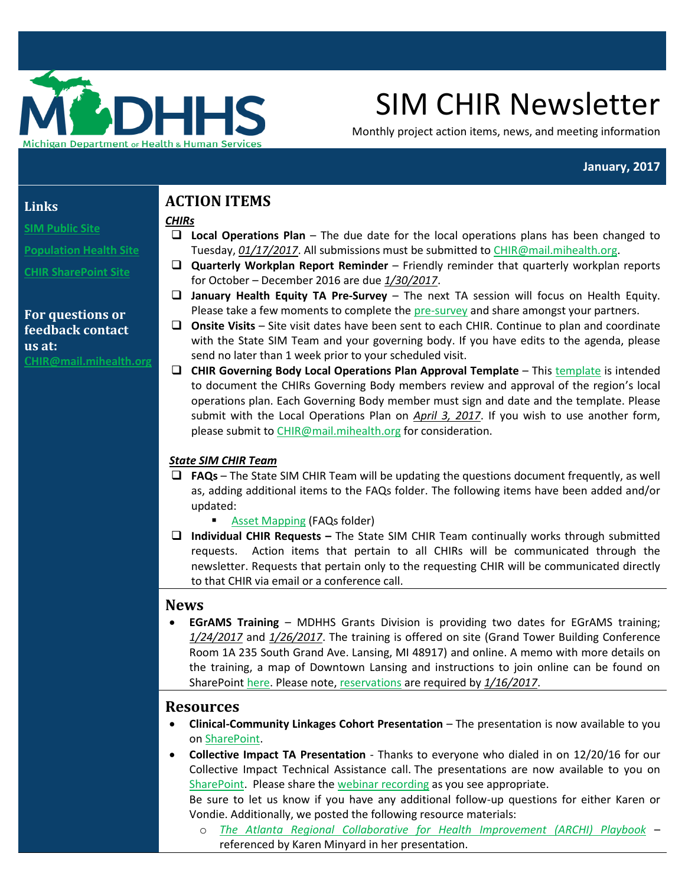

# SIM CHIR Newsletter

Monthly project action items, news, and meeting information

#### **January, 2017**

#### **Links**

**[SIM Public Site](http://www.michigan.gov/mdhhs/0,5885,7-339-71551_2945_64491_76092---,00.html)**

**[Population Health Site](http://www.michigan.gov/mdhhs/0,5885,7-339-71551_2945_64491_76092_77453---,00.html)**

**[CHIR SharePoint Site](https://stateofmichigan.sharepoint.com/teams/dhhs/bic/msacss/SIM/SitePages/CHIR.aspx)**

## **For questions or feedback contact us at: C[HIR@mail.mihealth.org](mailto:CHIR@mail.mihealth.org)**

# **ACTION ITEMS**

*CHIRs*

- **Local Operations Plan** The due date for the local operations plans has been changed to Tuesday, *01/17/2017*. All submissions must be submitted to [CHIR@mail.mihealth.org.](mailto:CHIR@mail.mihealth.org)
- **Quarterly Workplan Report Reminder** Friendly reminder that quarterly workplan reports for October – December 2016 are due *1/30/2017*.
- **January Health Equity TA Pre-Survey** The next TA session will focus on Health Equity. Please take a few moments to complete the [pre-survey](https://www.surveymonkey.com/r/R96BXJ6) and share amongst your partners.
- **Onsite Visits** Site visit dates have been sent to each CHIR. Continue to plan and coordinate with the State SIM Team and your governing body. If you have edits to the agenda, please send no later than 1 week prior to your scheduled visit.
- **CHIR Governing Body Local Operations Plan Approval Template** This [template](https://stateofmichigan.sharepoint.com/teams/dhhs/bic/msacss/SIM/_layouts/15/WopiFrame.aspx?sourcedoc=%7B36A86AD3-F9E7-491F-B5BE-51F63DB9F3F8%7D&file=CHIR%20Governing%20Body%20Approval.docx&action=default) is intended to document the CHIRs Governing Body members review and approval of the region's local operations plan. Each Governing Body member must sign and date and the template. Please submit with the Local Operations Plan on *April 3, 2017*. If you wish to use another form, please submit t[o CHIR@mail.mihealth.org](mailto:CHIR@mail.mihealth.org) for consideration.

# *State SIM CHIR Team*

- **FAQs**  The State SIM CHIR Team will be updating the questions document frequently, as well as, adding additional items to the FAQs folder. The following items have been added and/or updated:
	- **[Asset Mapping](https://stateofmichigan.sharepoint.com/teams/dhhs/bic/msacss/SIM/_layouts/15/WopiFrame.aspx?sourcedoc=%7B716804FA-0DF8-4133-913A-E791B2C90A76%7D&file=Asset%20Mapping%20Memo%20Requirements%2001.05.17.docx&action=default) (FAQs folder)**
- **Individual CHIR Requests –** The State SIM CHIR Team continually works through submitted requests. Action items that pertain to all CHIRs will be communicated through the newsletter. Requests that pertain only to the requesting CHIR will be communicated directly to that CHIR via email or a conference call.

# **News**

 **EGrAMS Training** – MDHHS Grants Division is providing two dates for EGrAMS training; *1/24/2017* and *1/26/2017*. The training is offered on site (Grand Tower Building Conference Room 1A 235 South Grand Ave. Lansing, MI 48917) and online. A memo with more details on the training, a map of Downtown Lansing and instructions to join online can be found on SharePoin[t here.](https://stateofmichigan.sharepoint.com/teams/dhhs/bic/msacss/SIM/SitePages/CHIR.aspx?RootFolder=%2Fteams%2Fdhhs%2Fbic%2Fmsacss%2FSIM%2FAll%20CHIRs%2FResources%2FMiscellaneous&FolderCTID=0x0120003B7FB0DED59A0048B73B1354F317721B&View=%7BA4E78E70%2D1B73%2D4B6E%2DA329%2DEA7AE81B4134%7D#InplviewHash80361d27-195b-4fd9-a7a0-0941ba1f84ef=) Please note[, reservations](http://www.surveygizmo.com/s3/3259095/EGrAMS-Grantee-STD-Trng-RSVP-Jan) are required by *1/16/2017*.

# **Resources**

- **Clinical-Community Linkages Cohort Presentation** The presentation is now available to you o[n SharePoint.](https://stateofmichigan.sharepoint.com/teams/dhhs/bic/msacss/SIM/All%20CHIRs/Resources/Presentations/2016.12.19%20CHIR%20Collaboration%20Cohort%20Call_Clinical%20Community%20Linkages.pdf)
- **Collective Impact TA Presentation** Thanks to everyone who dialed in on 12/20/16 for our Collective Impact Technical Assistance call. The presentations are now available to you on [SharePoint.](https://stateofmichigan.sharepoint.com/teams/dhhs/bic/msacss/SIM/All%20CHIRs/Resources/Presentations/2016.12.20%20TA%20Presentation_Collective%20Impact.pdf) Please share th[e webinar recording](https://mphi.webex.com/mphi/ldr.php?RCID=9431d4a9c51349488ddddaf28033076e) as you see appropriate.

Be sure to let us know if you have any additional follow-up questions for either Karen or Vondie. Additionally, we posted the following resource materials:

o *[The Atlanta Regional Collaborative for Health Improvement \(ARCHI\) Playbook](https://stateofmichigan.sharepoint.com/teams/dhhs/bic/msacss/SIM/All%20CHIRs/Resources/Articles_Papers_Manuals/Atlanta%20Regional%20Collaborative%20for%20Health%20Improvment%20(ARCHI)%20Playbook.pdf)* – referenced by Karen Minyard in her presentation.